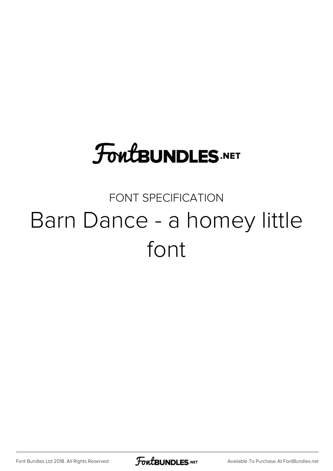### **FoutBUNDLES.NET**

### FONT SPECIFICATION Barn Dance - a homey little font

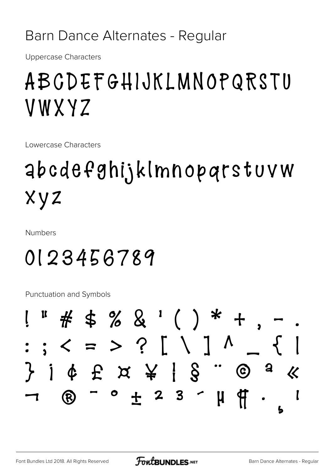#### Barn Dance Alternates - Regular

**Uppercase Characters** 

### ABCDEFGHIJKLMNOPQRSTU **VWXYZ**

Lowercase Characters

### abcdefghijklmnoparstuvw Xyz

**Numbers** 

### 0123456789

Punctuation and Symbols

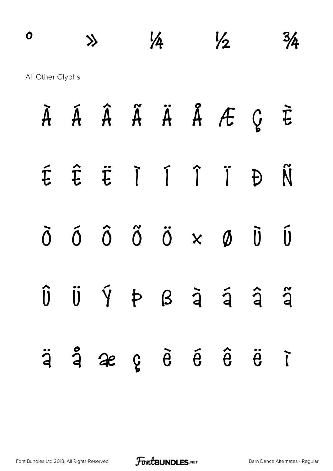## $\frac{1}{4}$   $\frac{1}{2}$   $\frac{3}{4}$ All Other Glyphs À Á Â Ã Ä Å Æ Ç È É Ê Ë Ì Í Î Ï Ð Ñ

|  |  |  | $\tilde{O}$ $\tilde{O}$ $\tilde{O}$ $\tilde{O}$ $\times$ $\emptyset$ $\tilde{U}$ $\tilde{U}$ |  |
|--|--|--|----------------------------------------------------------------------------------------------|--|
|  |  |  | $\hat{U}$ $\hat{U}$ $\hat{Y}$ $\hat{P}$ $\hat{B}$ $\hat{a}$ $\hat{a}$ $\hat{a}$ $\hat{a}$    |  |

## ä å æ ç è é ê ë ì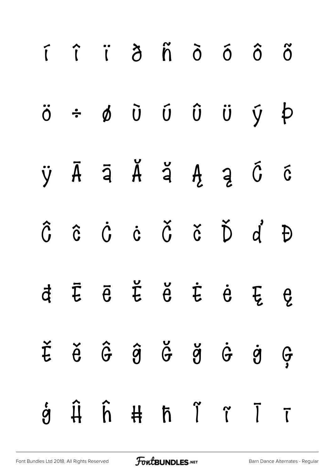|  | i î i d ñ o ó ô ő                                                                                                                           |  |  |  |
|--|---------------------------------------------------------------------------------------------------------------------------------------------|--|--|--|
|  | $\ddot{o}$ $\div$ $\phi$ $\ddot{o}$ $\ddot{o}$ $\ddot{o}$ $\ddot{o}$ $\ddot{o}$ $\ddot{o}$ $\ddot{o}$ $\phi$                                |  |  |  |
|  | ÿĀā Ă ă Ą ą Ć ć                                                                                                                             |  |  |  |
|  | $\hat{G}$ $\hat{\sigma}$ $\hat{G}$ $\hat{\sigma}$ $\hat{\sigma}$ $\hat{\sigma}$ $\hat{\sigma}$ $\hat{\sigma}$ $\hat{\sigma}$ $\hat{\sigma}$ |  |  |  |
|  | d Ē ē Ě ě Ė ė Ę ę                                                                                                                           |  |  |  |
|  | $\check{E}$ $\check{\theta}$ $\hat{\theta}$ $\check{\theta}$ $\check{\theta}$ $\check{\theta}$ $\check{\theta}$ $\check{\theta}$            |  |  |  |
|  | $\acute{g}$ $\hat{H}$ $\hat{h}$ $\hat{H}$ $\hat{n}$ $\hat{l}$ $\hat{\tau}$ $\overline{\tau}$                                                |  |  |  |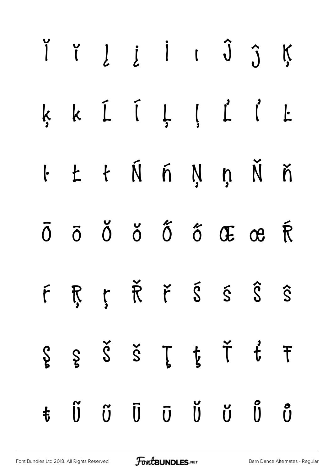|  |  |  | I I L L I I J J K                                                                                                                                                                                                                                                                                                                                                                    |  |
|--|--|--|--------------------------------------------------------------------------------------------------------------------------------------------------------------------------------------------------------------------------------------------------------------------------------------------------------------------------------------------------------------------------------------|--|
|  |  |  | ķk ĺ ĺ Ļļ ľ ľ Ŀ                                                                                                                                                                                                                                                                                                                                                                      |  |
|  |  |  | $l$ $\pm$ $l$ $\tilde{N}$ $\tilde{n}$ $\tilde{N}$ $\tilde{n}$ $\tilde{N}$ $\tilde{n}$                                                                                                                                                                                                                                                                                                |  |
|  |  |  | $\overline{0}$ $\overline{0}$ $\overline{0}$ $\overline{0}$ $\overline{0}$ $\overline{0}$ $\overline{0}$ $\overline{0}$ $\overline{0}$ $\overline{0}$ $\overline{0}$ $\overline{0}$ $\overline{0}$ $\overline{0}$ $\overline{0}$ $\overline{0}$ $\overline{0}$ $\overline{0}$ $\overline{0}$ $\overline{0}$ $\overline{0}$ $\overline{0}$ $\overline{0}$ $\overline{0}$ $\overline{$ |  |
|  |  |  | FRȚŘŤŠŚŜŜ                                                                                                                                                                                                                                                                                                                                                                            |  |
|  |  |  | $\zeta$ $\zeta$ $\zeta$ $\zeta$ $\zeta$ $\zeta$ $\zeta$                                                                                                                                                                                                                                                                                                                              |  |
|  |  |  | $\begin{array}{ccccccccccccc}\n\ddot{t} & \ddot{0} & \ddot{0} & \ddot{0} & \ddot{0} & \ddot{0} & \ddot{0} & \ddot{0} & \ddot{0}\n\end{array}$                                                                                                                                                                                                                                        |  |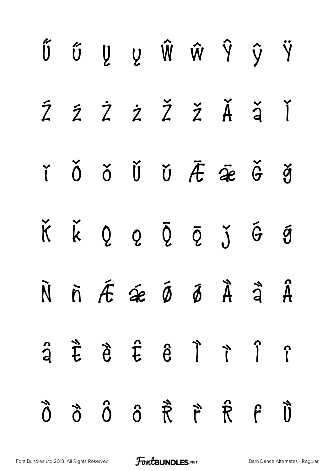|  |  |  | Ű Ű Ų Ų Ŵ Ŵ Ŷ ŷ Ÿ                                                                                                                                                                                                                                                                                                                                                                            |  |
|--|--|--|----------------------------------------------------------------------------------------------------------------------------------------------------------------------------------------------------------------------------------------------------------------------------------------------------------------------------------------------------------------------------------------------|--|
|  |  |  | ŹŹŻŽŽŽĂŽĨ                                                                                                                                                                                                                                                                                                                                                                                    |  |
|  |  |  | ř Ŏ Ŏ Ŭ Ŭ Æ Æ Ğ ğ                                                                                                                                                                                                                                                                                                                                                                            |  |
|  |  |  | K K Q Q Q Q J G J                                                                                                                                                                                                                                                                                                                                                                            |  |
|  |  |  | N nī ÆæÕÕÃ À à Â                                                                                                                                                                                                                                                                                                                                                                             |  |
|  |  |  | $\begin{array}{ccccccccccccc} \hat{a} & \hat{c} & \hat{d} & \hat{c} & \hat{e} & \hat{d} & \hat{d} & \hat{c} & \hat{c} & \hat{d} & \hat{c} & \hat{c} & \hat{c} & \hat{d} & \hat{c} & \hat{c} & \hat{c} & \hat{c} & \hat{c} & \hat{c} & \hat{c} & \hat{c} & \hat{c} & \hat{c} & \hat{c} & \hat{c} & \hat{c} & \hat{c} & \hat{c} & \hat{c} & \hat{c} & \hat{c} & \hat{c} & \hat{c} & \hat{c} &$ |  |
|  |  |  | Ö Ö Ö Ö Ö Ö Ö Ö                                                                                                                                                                                                                                                                                                                                                                              |  |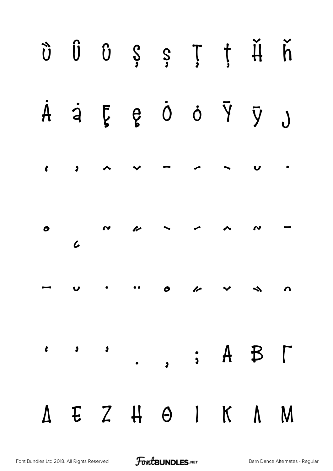|  |  |  | Ù Û Û Ş Ş Ţ ţ H ȟ                                                                                                                                             |  |
|--|--|--|---------------------------------------------------------------------------------------------------------------------------------------------------------------|--|
|  |  |  | A à Eୂe O O Y Y J                                                                                                                                             |  |
|  |  |  |                                                                                                                                                               |  |
|  |  |  |                                                                                                                                                               |  |
|  |  |  |                                                                                                                                                               |  |
|  |  |  | $\begin{array}{ccccccccccccccccc} \cdot & \cdot & \cdot & \cdot & \cdot & \cdot & \cdot & \cdot & \cdot & A & B & \Gamma \end{array}$                         |  |
|  |  |  | $\begin{array}{ccccccccccccccccccccc} \Delta & \mathsf{E} & \mathsf{Z} & \mathsf{H} & \Theta & \mathsf{I} & \mathsf{K} & \mathsf{N} & \mathsf{M} \end{array}$ |  |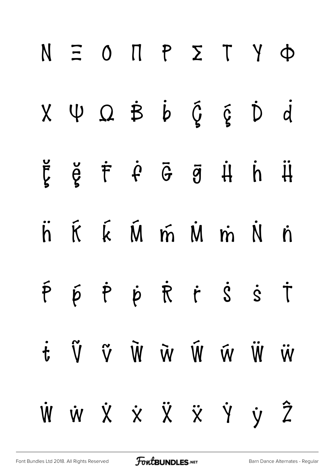|  |  |  | $N \equiv 0$ $T$ $P$ $\Sigma$ $T$ $Y$ $\Phi$                                                                                               |  |
|--|--|--|--------------------------------------------------------------------------------------------------------------------------------------------|--|
|  |  |  | $X \quad \psi \quad \Omega \quad \dot{B} \quad \dot{b} \quad \dot{\zeta} \quad \dot{\zeta} \quad \dot{D} \quad \dot{d}$                    |  |
|  |  |  | ğğ f f G g H h H                                                                                                                           |  |
|  |  |  | $\ddot{h}$ $\ddot{K}$ $\ddot{K}$ $\ddot{M}$ $\ddot{m}$ $\ddot{M}$ $\ddot{m}$ $\ddot{N}$ $\ddot{n}$                                         |  |
|  |  |  | $\begin{array}{ccccc}\tilde{P} & \tilde{P} & \tilde{P} & \tilde{P} & \tilde{R} & \tilde{C} & \tilde{S} & \tilde{S} & \tilde{T}\end{array}$ |  |
|  |  |  | $\ddot{W} \quad \ddot{W} \quad \ddot{W} \quad \ddot{W} \quad \ddot{W} \quad \ddot{V} \quad \ddot{V} \quad \ddot{V}$                        |  |
|  |  |  | V W X X X X Y Y Z                                                                                                                          |  |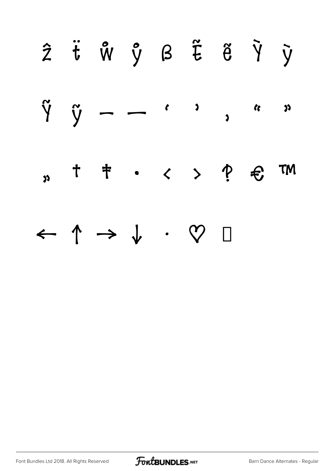

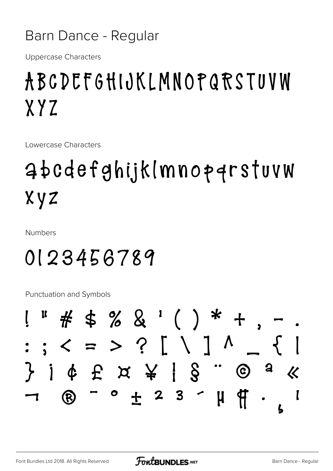#### Barn Dance - Regular

**Uppercase Characters** 

### ABCDEFGHIJKLMNOPQRSTUVW XYZ

Lowercase Characters

### abcdefghijklmnoparstuvw Xyz

**Numbers** 

### 0123456789

Punctuation and Symbols

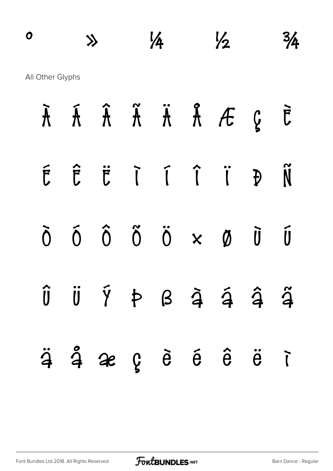# $\frac{1}{4}$   $\frac{1}{2}$   $\frac{3}{4}$ All Other Glyphs À Á Â Ã Ä Å Æ Ç È É Ê Ë Ì Í Î Ï Ð Ñ Ò Ó Ô Õ Ö × Ø Ù Ú

 $\hat{U}$   $\hat{U}$   $\hat{Y}$   $\uparrow$   $\beta$   $\hat{a}$   $\hat{a}$   $\hat{a}$   $\hat{a}$   $\hat{a}$ ä å æ ç è é ê ë ì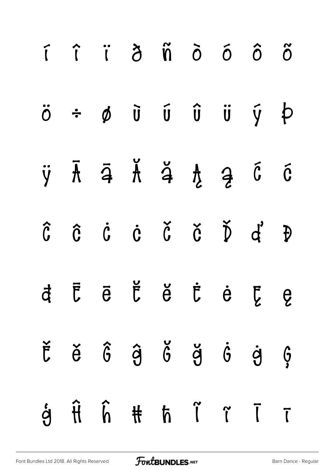|  | i î ï ð ñ ō ó ô ő                                                                                                                                                                                                                                                                                                                                                                                                                               |  |  |  |
|--|-------------------------------------------------------------------------------------------------------------------------------------------------------------------------------------------------------------------------------------------------------------------------------------------------------------------------------------------------------------------------------------------------------------------------------------------------|--|--|--|
|  | $\ddot{o}$ $\div$ $\phi$ $\ddot{u}$ $\ddot{u}$ $\ddot{u}$ $\ddot{u}$ $\ddot{y}$ $\phi$                                                                                                                                                                                                                                                                                                                                                          |  |  |  |
|  | $\ddot{y}$ $\ddot{A}$ $\ddot{A}$ $\ddot{A}$ $\ddot{A}$ $\ddot{A}$ $\ddot{A}$ $\ddot{B}$ $\ddot{C}$ $\ddot{C}$                                                                                                                                                                                                                                                                                                                                   |  |  |  |
|  | $\begin{array}{ccccccccccccc}\hat{\mathbf{U}}&\hat{\mathbf{U}}&\hat{\mathbf{U}}&\hat{\mathbf{U}}&\hat{\mathbf{U}}&\hat{\mathbf{U}}&\hat{\mathbf{U}}&\hat{\mathbf{U}}&\hat{\mathbf{U}}&\hat{\mathbf{U}}&\hat{\mathbf{U}}&\hat{\mathbf{U}}&\hat{\mathbf{U}}&\hat{\mathbf{U}}&\hat{\mathbf{U}}&\hat{\mathbf{U}}&\hat{\mathbf{U}}&\hat{\mathbf{U}}&\hat{\mathbf{U}}&\hat{\mathbf{U}}&\hat{\mathbf{U}}&\hat{\mathbf{U}}&\hat{\mathbf{U}}&\hat{\math$ |  |  |  |
|  | d Ē ē Ĕ ĕ Ė ė Ę ę                                                                                                                                                                                                                                                                                                                                                                                                                               |  |  |  |
|  | $\check{E} \quad \check{e} \quad \hat{G} \quad \hat{g} \quad \check{G} \quad \check{g} \quad \check{g} \quad \dot{g} \quad \check{g}$                                                                                                                                                                                                                                                                                                           |  |  |  |
|  | $\dot{g}$ $\hat{H}$ $\hat{h}$ $\hat{H}$ $\hat{h}$ $\hat{I}$ $\hat{I}$ $\hat{I}$                                                                                                                                                                                                                                                                                                                                                                 |  |  |  |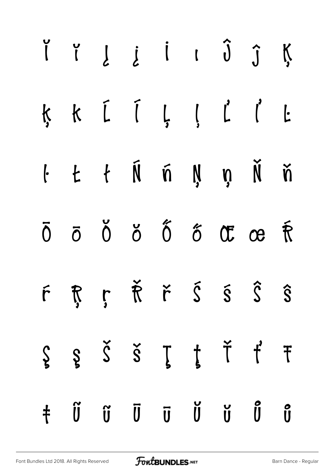|            |  |  |  | ķk [[[, j'] [                                                                                                                                                                                                                         |  |
|------------|--|--|--|---------------------------------------------------------------------------------------------------------------------------------------------------------------------------------------------------------------------------------------|--|
|            |  |  |  | $l$ $t$ $t$ $\tilde{N}$ $\tilde{n}$ $\tilde{N}$ $\tilde{N}$ $\tilde{n}$                                                                                                                                                               |  |
|            |  |  |  | $\overline{0}$ $\overline{0}$ $\overline{0}$ $\overline{0}$ $\overline{0}$ $\overline{0}$ $\overline{0}$ $\overline{0}$ $\overline{0}$ $\overline{0}$ $\overline{0}$ $\overline{0}$ $\overline{0}$ $\overline{0}$ $\overline{0}$      |  |
|            |  |  |  | F ŖŗŘřŠŠŜŜ                                                                                                                                                                                                                            |  |
|            |  |  |  | $\zeta$ $\xi$ $\zeta$ $\xi$ $\zeta$ $\dagger$ $\dagger$ $\xi$                                                                                                                                                                         |  |
| $\ddagger$ |  |  |  | $\begin{array}{ccc} \widetilde{\mathsf{U}} & \widetilde{\mathsf{U}} & \overline{\mathsf{U}} & \widetilde{\mathsf{U}} & \widetilde{\mathsf{U}} & \widetilde{\mathsf{U}} & \widetilde{\mathsf{U}} & \widetilde{\mathsf{U}} \end{array}$ |  |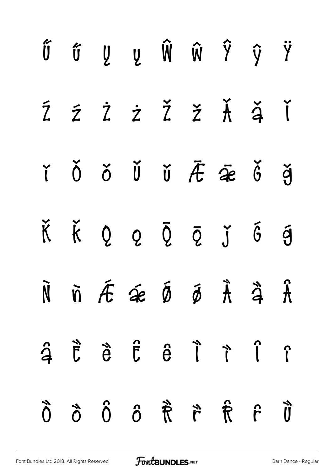|  |                                                                                                                                                 | $\tilde{U} \quad \tilde{U} \quad \tilde{U} \quad \psi \quad \hat{W} \quad \hat{W} \quad \tilde{Y} \quad \tilde{Y}$ |  |  |
|--|-------------------------------------------------------------------------------------------------------------------------------------------------|--------------------------------------------------------------------------------------------------------------------|--|--|
|  | ŹŹŻŽŽŽĂŠĬ                                                                                                                                       |                                                                                                                    |  |  |
|  | ř Ŏ ŏ Ŭ Ŭ Æ æ Ğ ğ                                                                                                                               |                                                                                                                    |  |  |
|  | K K Q Q Q Q J G J                                                                                                                               |                                                                                                                    |  |  |
|  | $\tilde{N}$ $\tilde{n}$ $\tilde{A}$ $\tilde{a}$ $\tilde{b}$ $\tilde{d}$ $\tilde{A}$ $\tilde{a}$ $\tilde{A}$                                     |                                                                                                                    |  |  |
|  | $\hat{a}$ $\hat{b}$ $\hat{c}$ $\hat{c}$ $\hat{d}$ $\hat{c}$ $\hat{d}$ $\hat{c}$                                                                 |                                                                                                                    |  |  |
|  | $\ddot{\theta}$ $\ddot{\theta}$ $\ddot{\theta}$ $\ddot{\theta}$ $\ddot{\theta}$ $\ddot{\theta}$ $\ddot{\theta}$ $\ddot{\theta}$ $\ddot{\theta}$ |                                                                                                                    |  |  |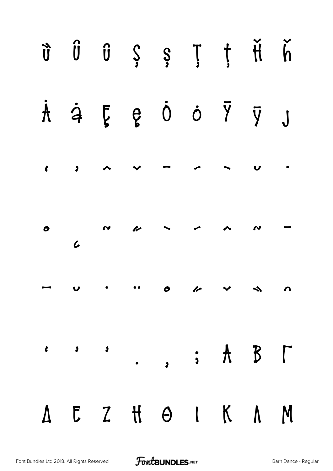| vi vi s s ŗ ţ ií h                                                                                                                                                                                                                                                                                                                                                                                                                                                           |  |  |  |  |
|------------------------------------------------------------------------------------------------------------------------------------------------------------------------------------------------------------------------------------------------------------------------------------------------------------------------------------------------------------------------------------------------------------------------------------------------------------------------------|--|--|--|--|
| A & E e O O Y V J                                                                                                                                                                                                                                                                                                                                                                                                                                                            |  |  |  |  |
|                                                                                                                                                                                                                                                                                                                                                                                                                                                                              |  |  |  |  |
|                                                                                                                                                                                                                                                                                                                                                                                                                                                                              |  |  |  |  |
| $\begin{array}{ccccccccccccccccccccc} \multicolumn{4}{c }{\mathbf{-1}} & \multicolumn{4}{c }{\mathbf{0}} & \multicolumn{4}{c }{\mathbf{0}} & \multicolumn{4}{c }{\mathbf{0}} & \multicolumn{4}{c }{\mathbf{0}} & \multicolumn{4}{c }{\mathbf{0}} & \multicolumn{4}{c }{\mathbf{0}} & \multicolumn{4}{c }{\mathbf{0}} & \multicolumn{4}{c }{\mathbf{0}} & \multicolumn{4}{c }{\mathbf{0}} & \multicolumn{4}{c }{\mathbf{0}} & \multicolumn{4}{c }{\mathbf{0}} & \multicolumn$ |  |  |  |  |
| $\cdots$ , ; $\uparrow$ $\uparrow$                                                                                                                                                                                                                                                                                                                                                                                                                                           |  |  |  |  |
| A E Z H O I K A M                                                                                                                                                                                                                                                                                                                                                                                                                                                            |  |  |  |  |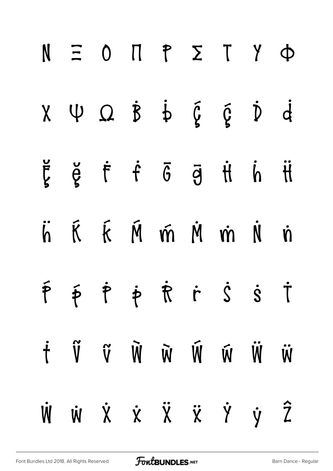|  |  | $N \equiv 0$ $N \equiv 7$ $Y \Phi$                                                                                                                                                                              |  |  |
|--|--|-----------------------------------------------------------------------------------------------------------------------------------------------------------------------------------------------------------------|--|--|
|  |  | $X \quad \psi \quad \Omega \quad \dot{B} \quad \dot{\phi} \quad \dot{\xi} \quad \dot{\xi} \quad \dot{\psi} \quad \dot{d}$                                                                                       |  |  |
|  |  | ğğf f 6 g ti h ti                                                                                                                                                                                               |  |  |
|  |  | $\ddot{h}$ $\ddot{K}$ $\ddot{K}$ $\ddot{M}$ $\ddot{m}$ $\ddot{M}$ $\ddot{m}$ $\ddot{N}$ $\ddot{n}$                                                                                                              |  |  |
|  |  | $\begin{array}{ccccc}\tilde{\mathsf{P}}&\tilde{\mathsf{P}}&\tilde{\mathsf{P}}&\tilde{\mathsf{P}}&\tilde{\mathsf{R}}&\tilde{\mathsf{R}}&\tilde{\mathsf{S}}&\tilde{\mathsf{S}}&\tilde{\mathsf{T}}&\\ \end{array}$ |  |  |
|  |  | + VVWWWWWW                                                                                                                                                                                                      |  |  |
|  |  | W W X X X X Y Y Z                                                                                                                                                                                               |  |  |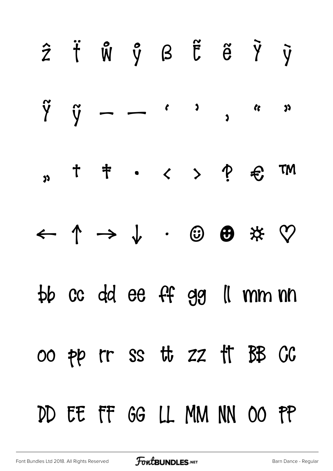